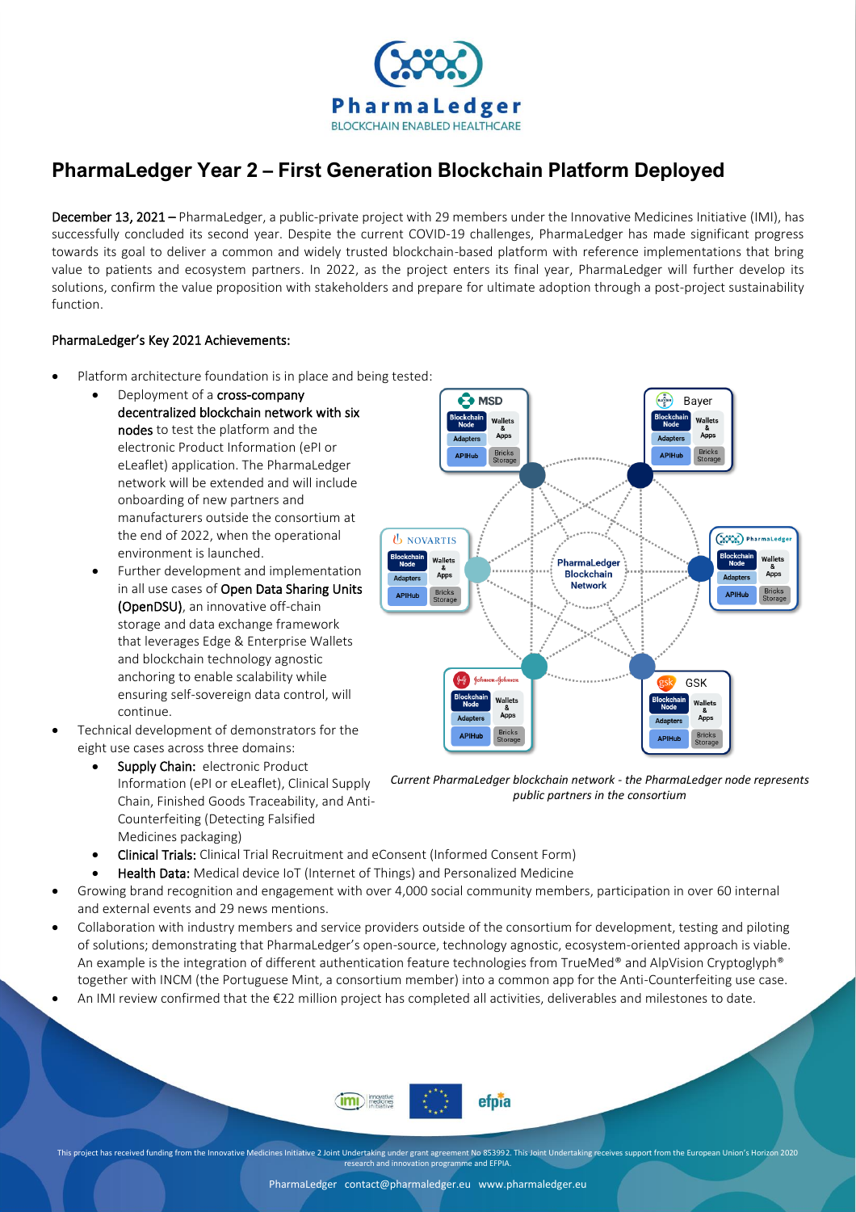

## **PharmaLedger Year 2 – First Generation Blockchain Platform Deployed**

December 13, 2021 – PharmaLedger, a public-private project with 29 members under the Innovative Medicines Initiative (IMI), has successfully concluded its second year. Despite the current COVID-19 challenges, PharmaLedger has made significant progress towards its goal to deliver a common and widely trusted blockchain-based platform with reference implementations that bring value to patients and ecosystem partners. In 2022, as the project enters its final year, PharmaLedger will further develop its solutions, confirm the value proposition with stakeholders and prepare for ultimate adoption through a post-project sustainability function.

## PharmaLedger's Key 2021 Achievements:

- Platform architecture foundation is in place and being tested:
	- Deployment of a cross-company decentralized blockchain network with six nodes to test the platform and the electronic Product Information (ePI or eLeaflet) application. The PharmaLedger network will be extended and will include onboarding of new partners and manufacturers outside the consortium at the end of 2022, when the operational environment is launched.
	- Further development and implementation in all use cases of Open Data Sharing Units (OpenDSU), an innovative off-chain storage and data exchange framework that leverages Edge & Enterprise Wallets and blockchain technology agnostic anchoring to enable scalability while ensuring self-sovereign data control, will continue.
- Technical development of demonstrators for the eight use cases across three domains:
	- Supply Chain: electronic Product Information (ePI or eLeaflet), Clinical Supply Chain, Finished Goods Traceability, and Anti-Counterfeiting (Detecting Falsified Medicines packaging)



*Current PharmaLedger blockchain network - the PharmaLedger node represents public partners in the consortium*

- Clinical Trials: Clinical Trial Recruitment and eConsent (Informed Consent Form)
- Health Data: Medical device IoT (Internet of Things) and Personalized Medicine
- Growing brand recognition and engagement with over 4,000 social community members, participation in over 60 internal and external events and 29 news mentions.
- Collaboration with industry members and service providers outside of the consortium for development, testing and piloting of solutions; demonstrating that PharmaLedger's open-source, technology agnostic, ecosystem-oriented approach is viable. An example is the integration of different authentication feature technologies from TrueMed® and AlpVision Cryptoglyph® together with INCM (the Portuguese Mint, a consortium member) into a common app for the Anti-Counterfeiting use case.
- An IMI review confirmed that the €22 million project has completed all activities, deliverables and milestones to date.



This project has received funding from the Innovative Medicines Initiative 2 Joint Undertaking under grant agreement No 853992. This Joint Undertaking receives support from the European Union's Horizon 2020 research and innovation programme and EFPIA.